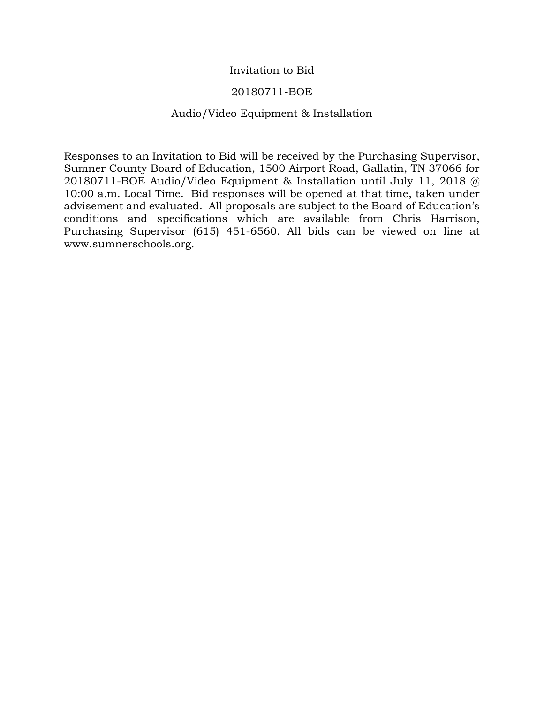#### Invitation to Bid

#### 20180711-BOE

#### Audio/Video Equipment & Installation

Responses to an Invitation to Bid will be received by the Purchasing Supervisor, Sumner County Board of Education, 1500 Airport Road, Gallatin, TN 37066 for 20180711-BOE Audio/Video Equipment & Installation until July 11, 2018 @ 10:00 a.m. Local Time. Bid responses will be opened at that time, taken under advisement and evaluated. All proposals are subject to the Board of Education's conditions and specifications which are available from Chris Harrison, Purchasing Supervisor (615) 451-6560. All bids can be viewed on line at www.sumnerschools.org.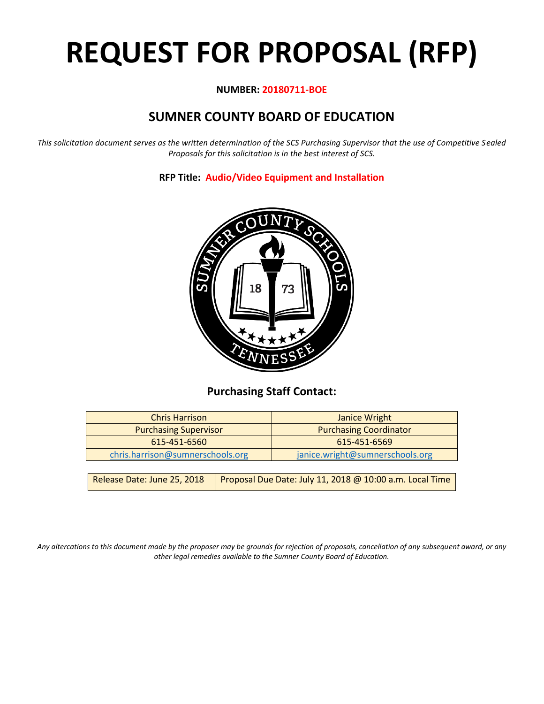# **REQUEST FOR PROPOSAL (RFP)**

#### **NUMBER: 20180711-BOE**

# **SUMNER COUNTY BOARD OF EDUCATION**

*This solicitation document serves as the written determination of the SCS Purchasing Supervisor that the use of Competitive Sealed Proposals for this solicitation is in the best interest of SCS.*

**RFP Title: Audio/Video Equipment and Installation**



## **Purchasing Staff Contact:**

| <b>Chris Harrison</b>            |  | Janice Wright                                            |
|----------------------------------|--|----------------------------------------------------------|
| <b>Purchasing Supervisor</b>     |  | <b>Purchasing Coordinator</b>                            |
| 615-451-6560                     |  | 615-451-6569                                             |
| chris.harrison@sumnerschools.org |  | janice.wright@sumnerschools.org                          |
|                                  |  |                                                          |
| Release Date: June 25, 2018      |  | Proposal Due Date: July 11, 2018 @ 10:00 a.m. Local Time |

*Any altercations to this document made by the proposer may be grounds for rejection of proposals, cancellation of any subsequent award, or any other legal remedies available to the Sumner County Board of Education.*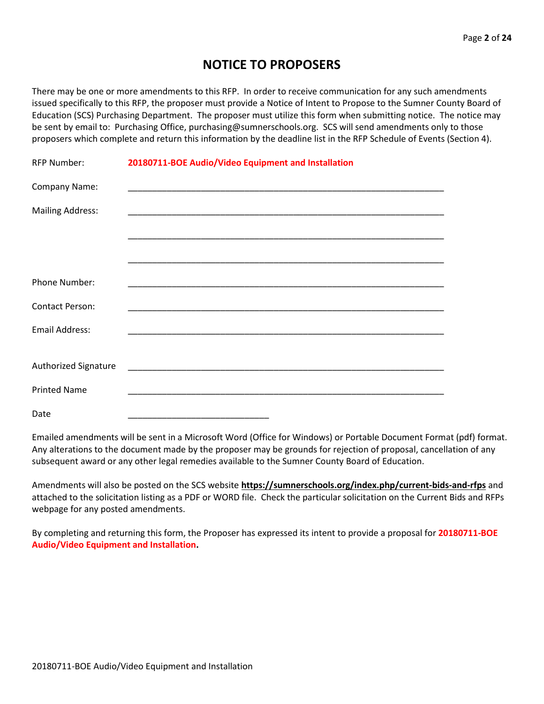## **NOTICE TO PROPOSERS**

There may be one or more amendments to this RFP. In order to receive communication for any such amendments issued specifically to this RFP, the proposer must provide a Notice of Intent to Propose to the Sumner County Board of Education (SCS) Purchasing Department. The proposer must utilize this form when submitting notice. The notice may be sent by email to: Purchasing Office, purchasing@sumnerschools.org. SCS will send amendments only to those proposers which complete and return this information by the deadline list in the RFP Schedule of Events (Section 4).

| <b>RFP Number:</b>      | 20180711-BOE Audio/Video Equipment and Installation |
|-------------------------|-----------------------------------------------------|
| Company Name:           |                                                     |
| <b>Mailing Address:</b> |                                                     |
|                         |                                                     |
|                         |                                                     |
| Phone Number:           |                                                     |
| <b>Contact Person:</b>  |                                                     |
| <b>Email Address:</b>   |                                                     |
|                         |                                                     |
| Authorized Signature    |                                                     |
| <b>Printed Name</b>     |                                                     |
| Date                    |                                                     |

Emailed amendments will be sent in a Microsoft Word (Office for Windows) or Portable Document Format (pdf) format. Any alterations to the document made by the proposer may be grounds for rejection of proposal, cancellation of any subsequent award or any other legal remedies available to the Sumner County Board of Education.

Amendments will also be posted on the SCS website **https://sumnerschools.org/index.php/current-bids-and-rfps** and attached to the solicitation listing as a PDF or WORD file. Check the particular solicitation on the Current Bids and RFPs webpage for any posted amendments.

By completing and returning this form, the Proposer has expressed its intent to provide a proposal for **20180711-BOE Audio/Video Equipment and Installation.**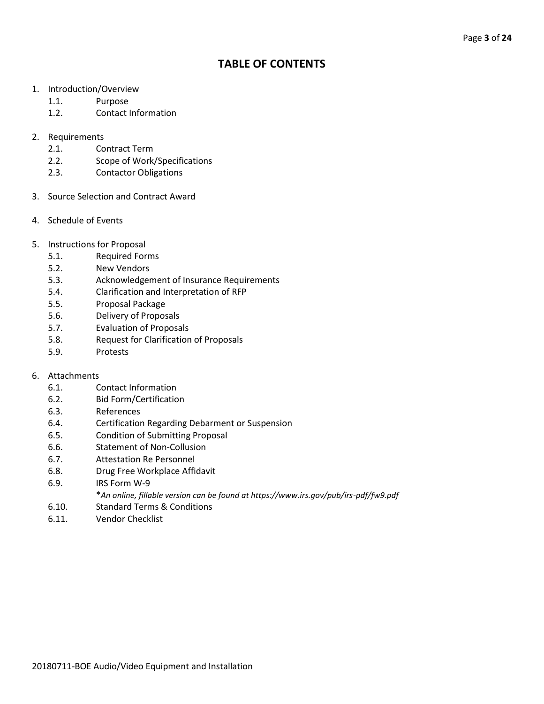## **TABLE OF CONTENTS**

- 1. Introduction/Overview
	- 1.1. Purpose
	- 1.2. Contact Information
- 2. Requirements
	- 2.1. Contract Term
	- 2.2. Scope of Work/Specifications
	- 2.3. Contactor Obligations
- 3. Source Selection and Contract Award
- 4. Schedule of Events
- 5. Instructions for Proposal
	- 5.1. Required Forms
	- 5.2. New Vendors
	- 5.3. Acknowledgement of Insurance Requirements
	- 5.4. Clarification and Interpretation of RFP
	- 5.5. Proposal Package
	- 5.6. Delivery of Proposals
	- 5.7. Evaluation of Proposals
	- 5.8. Request for Clarification of Proposals
	- 5.9. Protests

#### 6. Attachments

- 6.1. Contact Information
- 6.2. Bid Form/Certification
- 6.3. References
- 6.4. Certification Regarding Debarment or Suspension
- 6.5. Condition of Submitting Proposal
- 6.6. Statement of Non-Collusion
- 6.7. Attestation Re Personnel
- 6.8. Drug Free Workplace Affidavit
- 6.9. IRS Form W-9
	- \**An online, fillable version can be found at https://www.irs.gov/pub/irs-pdf/fw9.pdf*
- 6.10. Standard Terms & Conditions
- 6.11. Vendor Checklist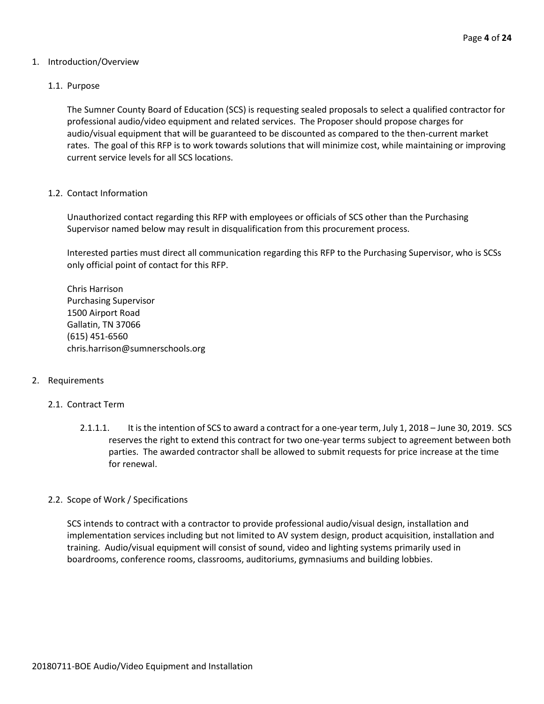#### 1. Introduction/Overview

#### 1.1. Purpose

The Sumner County Board of Education (SCS) is requesting sealed proposals to select a qualified contractor for professional audio/video equipment and related services. The Proposer should propose charges for audio/visual equipment that will be guaranteed to be discounted as compared to the then-current market rates. The goal of this RFP is to work towards solutions that will minimize cost, while maintaining or improving current service levels for all SCS locations.

#### 1.2. Contact Information

Unauthorized contact regarding this RFP with employees or officials of SCS other than the Purchasing Supervisor named below may result in disqualification from this procurement process.

Interested parties must direct all communication regarding this RFP to the Purchasing Supervisor, who is SCSs only official point of contact for this RFP.

Chris Harrison Purchasing Supervisor 1500 Airport Road Gallatin, TN 37066 (615) 451-6560 chris.harrison@sumnerschools.org

#### 2. Requirements

#### 2.1. Contract Term

2.1.1.1. It is the intention of SCS to award a contract for a one-year term, July 1, 2018 – June 30, 2019. SCS reserves the right to extend this contract for two one-year terms subject to agreement between both parties. The awarded contractor shall be allowed to submit requests for price increase at the time for renewal.

#### 2.2. Scope of Work / Specifications

SCS intends to contract with a contractor to provide professional audio/visual design, installation and implementation services including but not limited to AV system design, product acquisition, installation and training. Audio/visual equipment will consist of sound, video and lighting systems primarily used in boardrooms, conference rooms, classrooms, auditoriums, gymnasiums and building lobbies.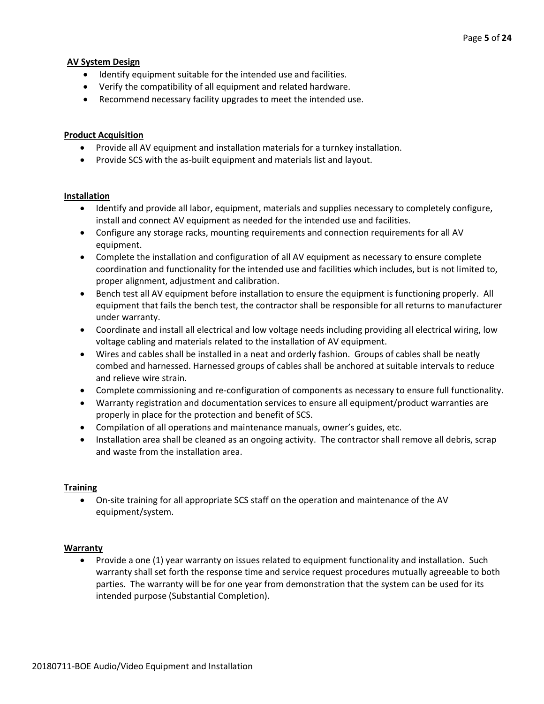#### **AV System Design**

- Identify equipment suitable for the intended use and facilities.
- Verify the compatibility of all equipment and related hardware.
- Recommend necessary facility upgrades to meet the intended use.

#### **Product Acquisition**

- Provide all AV equipment and installation materials for a turnkey installation.
- Provide SCS with the as-built equipment and materials list and layout.

#### **Installation**

- Identify and provide all labor, equipment, materials and supplies necessary to completely configure, install and connect AV equipment as needed for the intended use and facilities.
- Configure any storage racks, mounting requirements and connection requirements for all AV equipment.
- Complete the installation and configuration of all AV equipment as necessary to ensure complete coordination and functionality for the intended use and facilities which includes, but is not limited to, proper alignment, adjustment and calibration.
- Bench test all AV equipment before installation to ensure the equipment is functioning properly. All equipment that fails the bench test, the contractor shall be responsible for all returns to manufacturer under warranty.
- Coordinate and install all electrical and low voltage needs including providing all electrical wiring, low voltage cabling and materials related to the installation of AV equipment.
- Wires and cables shall be installed in a neat and orderly fashion. Groups of cables shall be neatly combed and harnessed. Harnessed groups of cables shall be anchored at suitable intervals to reduce and relieve wire strain.
- Complete commissioning and re-configuration of components as necessary to ensure full functionality.
- Warranty registration and documentation services to ensure all equipment/product warranties are properly in place for the protection and benefit of SCS.
- Compilation of all operations and maintenance manuals, owner's guides, etc.
- Installation area shall be cleaned as an ongoing activity. The contractor shall remove all debris, scrap and waste from the installation area.

#### **Training**

• On-site training for all appropriate SCS staff on the operation and maintenance of the AV equipment/system.

#### **Warranty**

• Provide a one (1) year warranty on issues related to equipment functionality and installation. Such warranty shall set forth the response time and service request procedures mutually agreeable to both parties. The warranty will be for one year from demonstration that the system can be used for its intended purpose (Substantial Completion).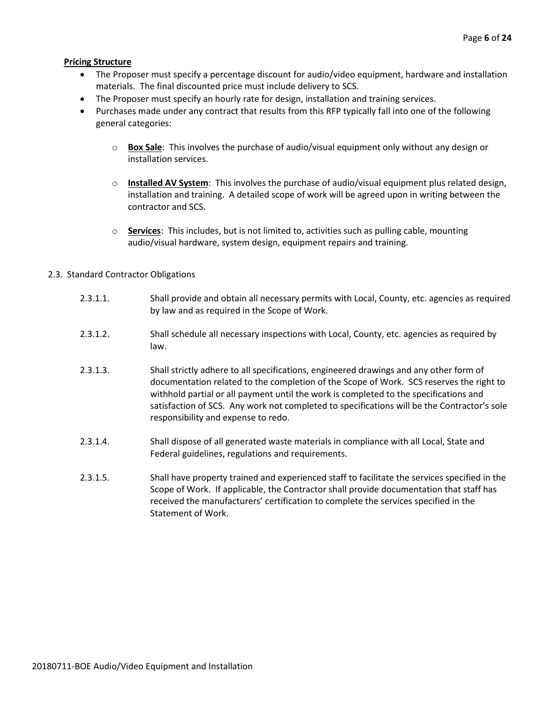#### **Pricing Structure**

- The Proposer must specify a percentage discount for audio/video equipment, hardware and installation materials. The final discounted price must include delivery to SCS.
- The Proposer must specify an hourly rate for design, installation and training services.
- Purchases made under any contract that results from this RFP typically fall into one of the following general categories:
	- o **Box Sale**: This involves the purchase of audio/visual equipment only without any design or installation services.
	- o **Installed AV System**: This involves the purchase of audio/visual equipment plus related design, installation and training. A detailed scope of work will be agreed upon in writing between the contractor and SCS.
	- o **Services**: This includes, but is not limited to, activities such as pulling cable, mounting audio/visual hardware, system design, equipment repairs and training.

#### 2.3. Standard Contractor Obligations

- 2.3.1.1. Shall provide and obtain all necessary permits with Local, County, etc. agencies as required by law and as required in the Scope of Work.
- 2.3.1.2. Shall schedule all necessary inspections with Local, County, etc. agencies as required by law.
- 2.3.1.3. Shall strictly adhere to all specifications, engineered drawings and any other form of documentation related to the completion of the Scope of Work. SCS reserves the right to withhold partial or all payment until the work is completed to the specifications and satisfaction of SCS. Any work not completed to specifications will be the Contractor's sole responsibility and expense to redo.
- 2.3.1.4. Shall dispose of all generated waste materials in compliance with all Local, State and Federal guidelines, regulations and requirements.
- 2.3.1.5. Shall have property trained and experienced staff to facilitate the services specified in the Scope of Work. If applicable, the Contractor shall provide documentation that staff has received the manufacturers' certification to complete the services specified in the Statement of Work.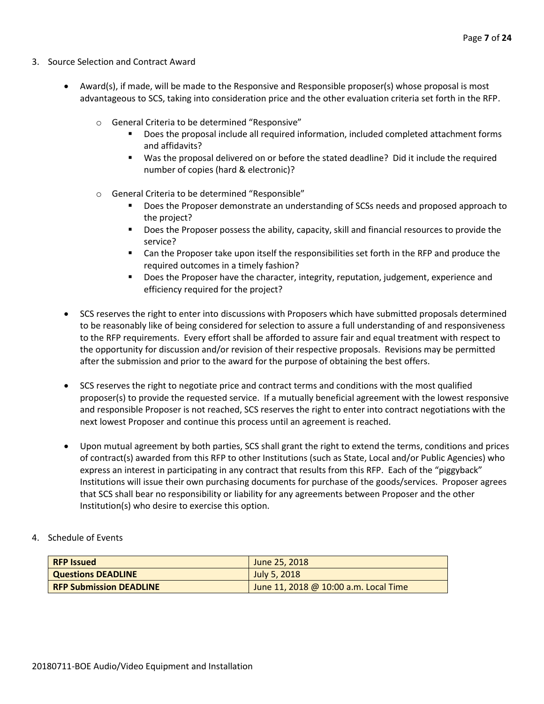- 3. Source Selection and Contract Award
	- Award(s), if made, will be made to the Responsive and Responsible proposer(s) whose proposal is most advantageous to SCS, taking into consideration price and the other evaluation criteria set forth in the RFP.
		- o General Criteria to be determined "Responsive"
			- Does the proposal include all required information, included completed attachment forms and affidavits?
			- Was the proposal delivered on or before the stated deadline? Did it include the required number of copies (hard & electronic)?
		- o General Criteria to be determined "Responsible"
			- Does the Proposer demonstrate an understanding of SCSs needs and proposed approach to the project?
			- Does the Proposer possess the ability, capacity, skill and financial resources to provide the service?
			- Can the Proposer take upon itself the responsibilities set forth in the RFP and produce the required outcomes in a timely fashion?
			- **■** Does the Proposer have the character, integrity, reputation, judgement, experience and efficiency required for the project?
	- SCS reserves the right to enter into discussions with Proposers which have submitted proposals determined to be reasonably like of being considered for selection to assure a full understanding of and responsiveness to the RFP requirements. Every effort shall be afforded to assure fair and equal treatment with respect to the opportunity for discussion and/or revision of their respective proposals. Revisions may be permitted after the submission and prior to the award for the purpose of obtaining the best offers.
	- SCS reserves the right to negotiate price and contract terms and conditions with the most qualified proposer(s) to provide the requested service. If a mutually beneficial agreement with the lowest responsive and responsible Proposer is not reached, SCS reserves the right to enter into contract negotiations with the next lowest Proposer and continue this process until an agreement is reached.
	- Upon mutual agreement by both parties, SCS shall grant the right to extend the terms, conditions and prices of contract(s) awarded from this RFP to other Institutions (such as State, Local and/or Public Agencies) who express an interest in participating in any contract that results from this RFP. Each of the "piggyback" Institutions will issue their own purchasing documents for purchase of the goods/services. Proposer agrees that SCS shall bear no responsibility or liability for any agreements between Proposer and the other Institution(s) who desire to exercise this option.
- 4. Schedule of Events

| <b>RFP Issued</b>              | June 25, 2018                         |
|--------------------------------|---------------------------------------|
| <b>Questions DEADLINE</b>      | July 5, 2018                          |
| <b>RFP Submission DEADLINE</b> | June 11, 2018 @ 10:00 a.m. Local Time |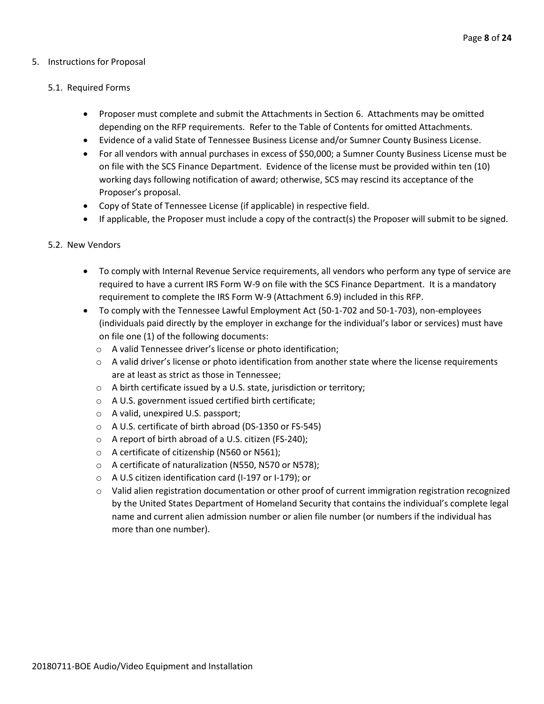#### 5. Instructions for Proposal

#### 5.1. Required Forms

- Proposer must complete and submit the Attachments in Section 6. Attachments may be omitted depending on the RFP requirements. Refer to the Table of Contents for omitted Attachments.
- Evidence of a valid State of Tennessee Business License and/or Sumner County Business License.
- For all vendors with annual purchases in excess of \$50,000; a Sumner County Business License must be on file with the SCS Finance Department. Evidence of the license must be provided within ten (10) working days following notification of award; otherwise, SCS may rescind its acceptance of the Proposer's proposal.
- Copy of State of Tennessee License (if applicable) in respective field.
- If applicable, the Proposer must include a copy of the contract(s) the Proposer will submit to be signed.

#### 5.2. New Vendors

- To comply with Internal Revenue Service requirements, all vendors who perform any type of service are required to have a current IRS Form W-9 on file with the SCS Finance Department. It is a mandatory requirement to complete the IRS Form W-9 (Attachment 6.9) included in this RFP.
- To comply with the Tennessee Lawful Employment Act (50-1-702 and 50-1-703), non-employees (individuals paid directly by the employer in exchange for the individual's labor or services) must have on file one (1) of the following documents:
	- o A valid Tennessee driver's license or photo identification;
	- $\circ$  A valid driver's license or photo identification from another state where the license requirements are at least as strict as those in Tennessee;
	- o A birth certificate issued by a U.S. state, jurisdiction or territory;
	- o A U.S. government issued certified birth certificate;
	- o A valid, unexpired U.S. passport;
	- o A U.S. certificate of birth abroad (DS-1350 or FS-545)
	- o A report of birth abroad of a U.S. citizen (FS-240);
	- o A certificate of citizenship (N560 or N561);
	- o A certificate of naturalization (N550, N570 or N578);
	- o A U.S citizen identification card (I-197 or I-179); or
	- $\circ$  Valid alien registration documentation or other proof of current immigration registration recognized by the United States Department of Homeland Security that contains the individual's complete legal name and current alien admission number or alien file number (or numbers if the individual has more than one number).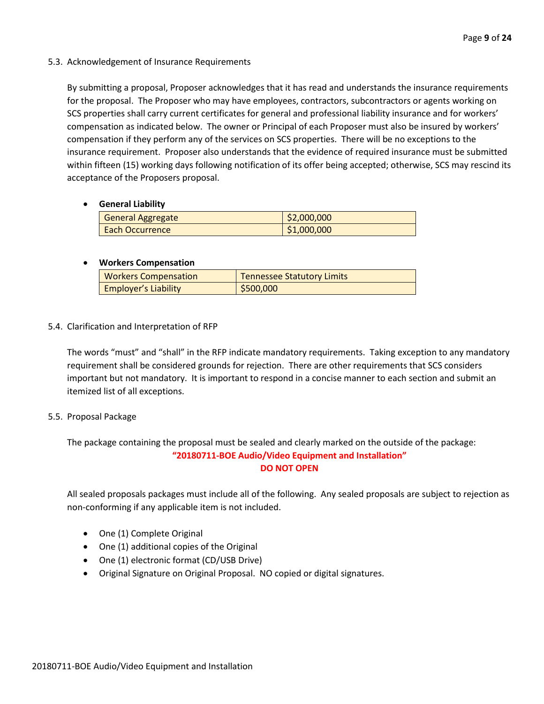#### 5.3. Acknowledgement of Insurance Requirements

By submitting a proposal, Proposer acknowledges that it has read and understands the insurance requirements for the proposal. The Proposer who may have employees, contractors, subcontractors or agents working on SCS properties shall carry current certificates for general and professional liability insurance and for workers' compensation as indicated below. The owner or Principal of each Proposer must also be insured by workers' compensation if they perform any of the services on SCS properties. There will be no exceptions to the insurance requirement. Proposer also understands that the evidence of required insurance must be submitted within fifteen (15) working days following notification of its offer being accepted; otherwise, SCS may rescind its acceptance of the Proposers proposal.

#### • **General Liability**

| <b>General Aggregate</b> | \$2,000,000 |
|--------------------------|-------------|
| <b>Each Occurrence</b>   | \$1,000,000 |

#### • **Workers Compensation**

| <b>Workers Compensation</b> | <b>Tennessee Statutory Limits</b> |
|-----------------------------|-----------------------------------|
| <b>Employer's Liability</b> | \$500,000                         |

#### 5.4. Clarification and Interpretation of RFP

The words "must" and "shall" in the RFP indicate mandatory requirements. Taking exception to any mandatory requirement shall be considered grounds for rejection. There are other requirements that SCS considers important but not mandatory. It is important to respond in a concise manner to each section and submit an itemized list of all exceptions.

#### 5.5. Proposal Package

The package containing the proposal must be sealed and clearly marked on the outside of the package: **"20180711-BOE Audio/Video Equipment and Installation" DO NOT OPEN**

All sealed proposals packages must include all of the following. Any sealed proposals are subject to rejection as non-conforming if any applicable item is not included.

- One (1) Complete Original
- One (1) additional copies of the Original
- One (1) electronic format (CD/USB Drive)
- Original Signature on Original Proposal. NO copied or digital signatures.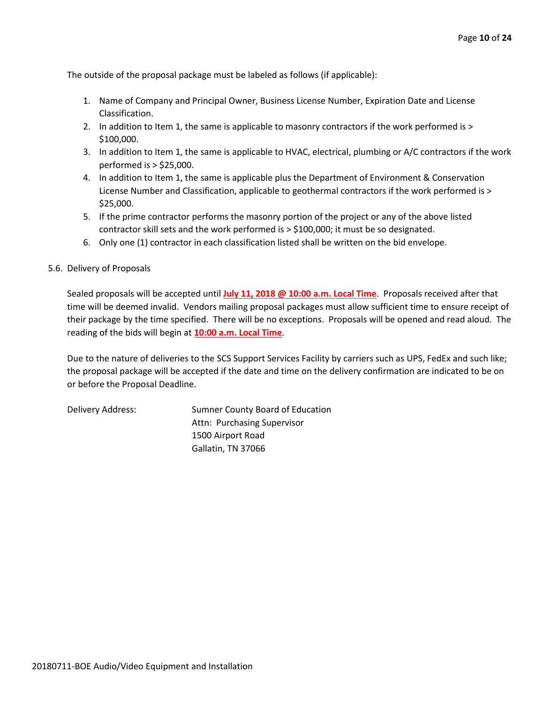The outside of the proposal package must be labeled as follows (if applicable):

- 1. Name of Company and Principal Owner, Business License Number, Expiration Date and License Classification.
- 2. In addition to Item 1, the same is applicable to masonry contractors if the work performed is > \$100,000.
- 3. In addition to Item 1, the same is applicable to HVAC, electrical, plumbing or A/C contractors if the work performed is > \$25,000.
- 4. In addition to Item 1, the same is applicable plus the Department of Environment & Conservation License Number and Classification, applicable to geothermal contractors if the work performed is > \$25,000.
- 5. If the prime contractor performs the masonry portion of the project or any of the above listed contractor skill sets and the work performed is > \$100,000; it must be so designated.
- 6. Only one (1) contractor in each classification listed shall be written on the bid envelope.
- 5.6. Delivery of Proposals

Sealed proposals will be accepted until **July 11, 2018 @ 10:00 a.m. Local Time**. Proposals received after that time will be deemed invalid. Vendors mailing proposal packages must allow sufficient time to ensure receipt of their package by the time specified. There will be no exceptions. Proposals will be opened and read aloud. The reading of the bids will begin at **10:00 a.m. Local Time**.

Due to the nature of deliveries to the SCS Support Services Facility by carriers such as UPS, FedEx and such like; the proposal package will be accepted if the date and time on the delivery confirmation are indicated to be on or before the Proposal Deadline.

Delivery Address: Sumner County Board of Education Attn: Purchasing Supervisor 1500 Airport Road Gallatin, TN 37066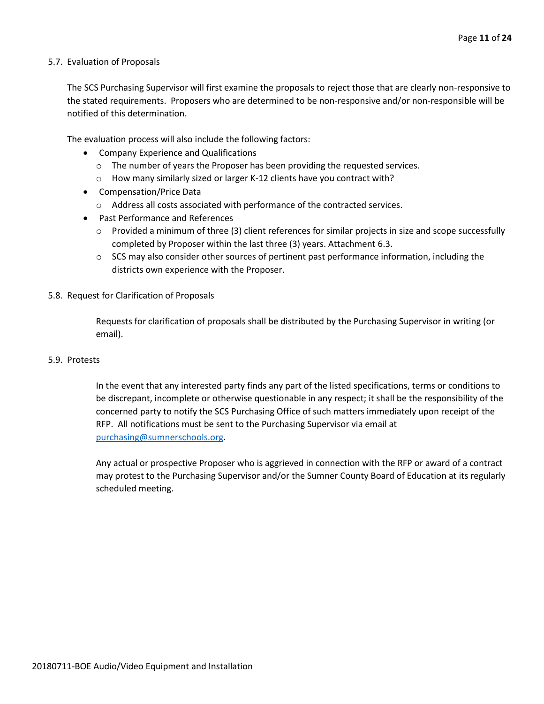#### 5.7. Evaluation of Proposals

The SCS Purchasing Supervisor will first examine the proposals to reject those that are clearly non-responsive to the stated requirements. Proposers who are determined to be non-responsive and/or non-responsible will be notified of this determination.

The evaluation process will also include the following factors:

- Company Experience and Qualifications
	- o The number of years the Proposer has been providing the requested services.
	- o How many similarly sized or larger K-12 clients have you contract with?
- Compensation/Price Data
	- o Address all costs associated with performance of the contracted services.
- Past Performance and References
	- $\circ$  Provided a minimum of three (3) client references for similar projects in size and scope successfully completed by Proposer within the last three (3) years. Attachment 6.3.
	- $\circ$  SCS may also consider other sources of pertinent past performance information, including the districts own experience with the Proposer.

#### 5.8. Request for Clarification of Proposals

Requests for clarification of proposals shall be distributed by the Purchasing Supervisor in writing (or email).

#### 5.9. Protests

In the event that any interested party finds any part of the listed specifications, terms or conditions to be discrepant, incomplete or otherwise questionable in any respect; it shall be the responsibility of the concerned party to notify the SCS Purchasing Office of such matters immediately upon receipt of the RFP. All notifications must be sent to the Purchasing Supervisor via email at [purchasing@sumnerschools.org.](mailto:purchasing@sumnerschools.org)

Any actual or prospective Proposer who is aggrieved in connection with the RFP or award of a contract may protest to the Purchasing Supervisor and/or the Sumner County Board of Education at its regularly scheduled meeting.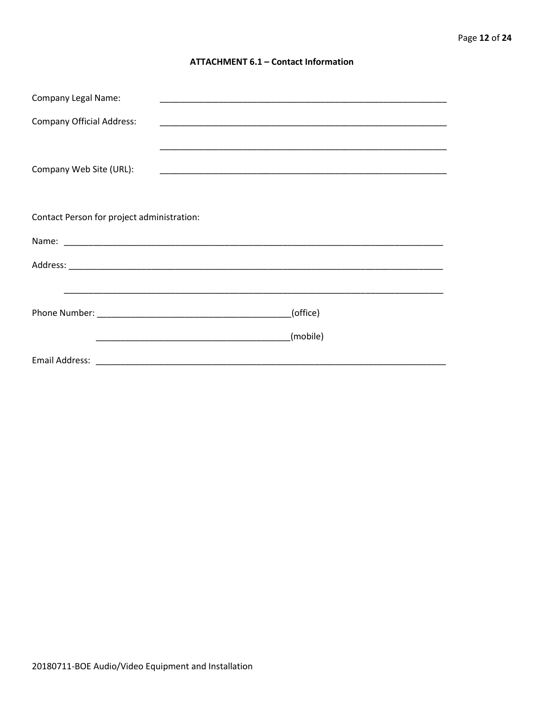#### **ATTACHMENT 6.1 - Contact Information**

| <b>Company Legal Name:</b>                 |          |
|--------------------------------------------|----------|
| <b>Company Official Address:</b>           |          |
|                                            |          |
| Company Web Site (URL):                    |          |
|                                            |          |
|                                            |          |
| Contact Person for project administration: |          |
|                                            |          |
|                                            |          |
|                                            |          |
|                                            | (office) |
|                                            |          |
|                                            | (mobile) |
|                                            |          |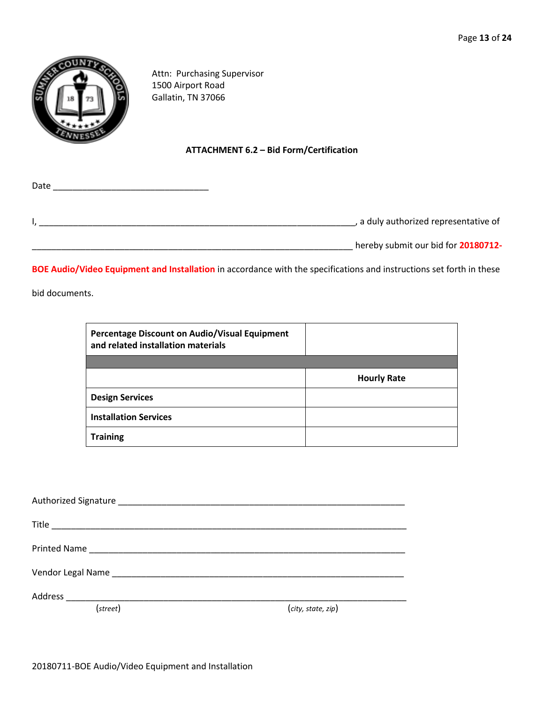\_\_\_\_\_\_\_\_\_\_\_\_\_\_\_\_\_\_\_\_\_\_\_\_\_\_\_\_\_\_\_\_\_\_\_\_\_\_\_\_\_\_\_\_\_\_\_\_\_\_\_\_\_\_\_\_\_\_\_\_\_\_\_\_\_\_ hereby submit our bid for **20180712-**



Attn: Purchasing Supervisor 1500 Airport Road Gallatin, TN 37066

#### **ATTACHMENT 6.2 – Bid Form/Certification**

| Date |                                       |
|------|---------------------------------------|
|      |                                       |
|      | , a duly authorized representative of |
|      |                                       |

**BOE Audio/Video Equipment and Installation** in accordance with the specifications and instructions set forth in these

bid documents.

| Percentage Discount on Audio/Visual Equipment<br>and related installation materials |                    |
|-------------------------------------------------------------------------------------|--------------------|
|                                                                                     |                    |
|                                                                                     | <b>Hourly Rate</b> |
| <b>Design Services</b>                                                              |                    |
| <b>Installation Services</b>                                                        |                    |
| <b>Training</b>                                                                     |                    |

| (street) | (city, state, zip) |
|----------|--------------------|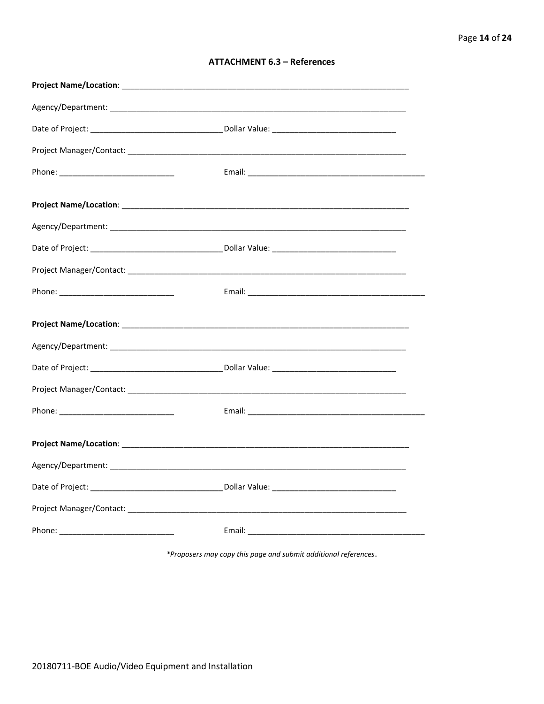| <b>ATTACHMENT 6.3 - References</b> |  |  |
|------------------------------------|--|--|
|------------------------------------|--|--|

\*Proposers may copy this page and submit additional references.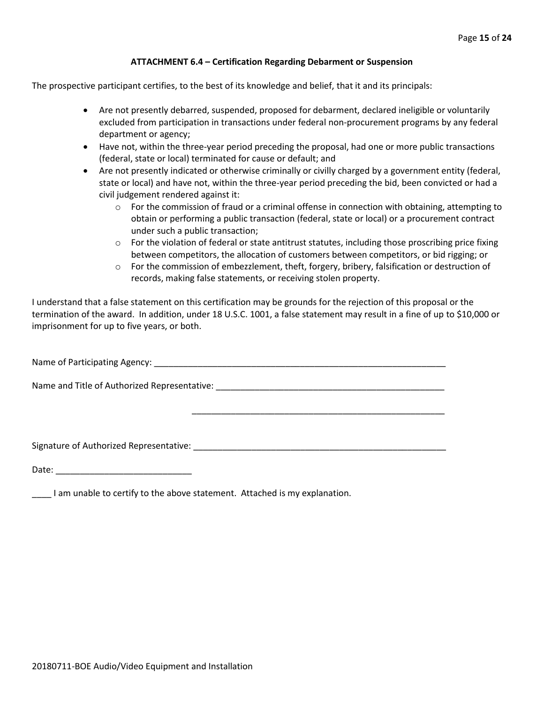#### **ATTACHMENT 6.4 – Certification Regarding Debarment or Suspension**

The prospective participant certifies, to the best of its knowledge and belief, that it and its principals:

- Are not presently debarred, suspended, proposed for debarment, declared ineligible or voluntarily excluded from participation in transactions under federal non-procurement programs by any federal department or agency;
- Have not, within the three-year period preceding the proposal, had one or more public transactions (federal, state or local) terminated for cause or default; and
- Are not presently indicated or otherwise criminally or civilly charged by a government entity (federal, state or local) and have not, within the three-year period preceding the bid, been convicted or had a civil judgement rendered against it:
	- $\circ$  For the commission of fraud or a criminal offense in connection with obtaining, attempting to obtain or performing a public transaction (federal, state or local) or a procurement contract under such a public transaction;
	- $\circ$  For the violation of federal or state antitrust statutes, including those proscribing price fixing between competitors, the allocation of customers between competitors, or bid rigging; or
	- $\circ$  For the commission of embezzlement, theft, forgery, bribery, falsification or destruction of records, making false statements, or receiving stolen property.

\_\_\_\_\_\_\_\_\_\_\_\_\_\_\_\_\_\_\_\_\_\_\_\_\_\_\_\_\_\_\_\_\_\_\_\_\_\_\_\_\_\_\_\_\_\_\_\_\_\_\_\_

I understand that a false statement on this certification may be grounds for the rejection of this proposal or the termination of the award. In addition, under 18 U.S.C. 1001, a false statement may result in a fine of up to \$10,000 or imprisonment for up to five years, or both.

Name of Participating Agency: \_\_\_\_\_\_\_\_\_\_\_\_\_\_\_\_\_\_\_\_\_\_\_\_\_\_\_\_\_\_\_\_\_\_\_\_\_\_\_\_\_\_\_\_\_\_\_\_\_\_\_\_\_\_\_\_\_\_\_\_

Name and Title of Authorized Representative: \_\_\_\_\_\_\_\_\_\_\_\_\_\_\_\_\_\_\_\_\_\_\_\_\_\_\_\_\_\_\_\_\_\_\_

Signature of Authorized Representative: \_\_\_\_\_\_\_\_\_\_\_\_\_\_\_\_\_\_\_\_\_\_\_\_\_\_\_\_\_\_\_\_\_\_\_\_\_\_\_\_\_\_\_\_\_\_\_\_\_\_\_\_

Date: \_\_\_\_\_\_\_\_\_\_\_\_\_\_\_\_\_\_\_\_\_\_\_\_\_\_\_\_

\_\_\_\_ I am unable to certify to the above statement. Attached is my explanation.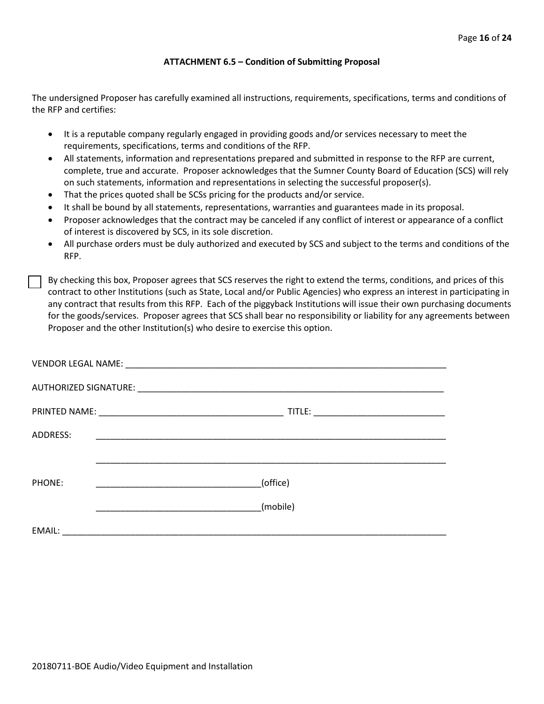#### **ATTACHMENT 6.5 – Condition of Submitting Proposal**

The undersigned Proposer has carefully examined all instructions, requirements, specifications, terms and conditions of the RFP and certifies:

- It is a reputable company regularly engaged in providing goods and/or services necessary to meet the requirements, specifications, terms and conditions of the RFP.
- All statements, information and representations prepared and submitted in response to the RFP are current, complete, true and accurate. Proposer acknowledges that the Sumner County Board of Education (SCS) will rely on such statements, information and representations in selecting the successful proposer(s).
- That the prices quoted shall be SCSs pricing for the products and/or service.
- It shall be bound by all statements, representations, warranties and guarantees made in its proposal.
- Proposer acknowledges that the contract may be canceled if any conflict of interest or appearance of a conflict of interest is discovered by SCS, in its sole discretion.
- All purchase orders must be duly authorized and executed by SCS and subject to the terms and conditions of the RFP.

By checking this box, Proposer agrees that SCS reserves the right to extend the terms, conditions, and prices of this contract to other Institutions (such as State, Local and/or Public Agencies) who express an interest in participating in any contract that results from this RFP. Each of the piggyback Institutions will issue their own purchasing documents for the goods/services. Proposer agrees that SCS shall bear no responsibility or liability for any agreements between Proposer and the other Institution(s) who desire to exercise this option.

| ADDRESS: |                                                                                                                      |
|----------|----------------------------------------------------------------------------------------------------------------------|
|          |                                                                                                                      |
| PHONE:   | (office)                                                                                                             |
|          | (mobile)                                                                                                             |
| EMAIL:   | <u> 1980 - Jan Stein Stein Stein Stein Stein Stein Stein Stein Stein Stein Stein Stein Stein Stein Stein Stein S</u> |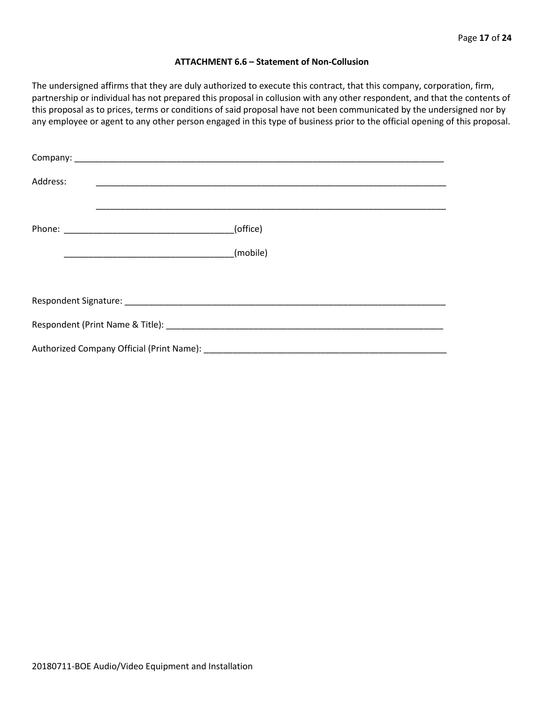#### **ATTACHMENT 6.6 – Statement of Non-Collusion**

The undersigned affirms that they are duly authorized to execute this contract, that this company, corporation, firm, partnership or individual has not prepared this proposal in collusion with any other respondent, and that the contents of this proposal as to prices, terms or conditions of said proposal have not been communicated by the undersigned nor by any employee or agent to any other person engaged in this type of business prior to the official opening of this proposal.

| Address: |          |  |  |  |  |
|----------|----------|--|--|--|--|
|          | (office) |  |  |  |  |
|          | (mobile) |  |  |  |  |
|          |          |  |  |  |  |
|          |          |  |  |  |  |
|          |          |  |  |  |  |
|          |          |  |  |  |  |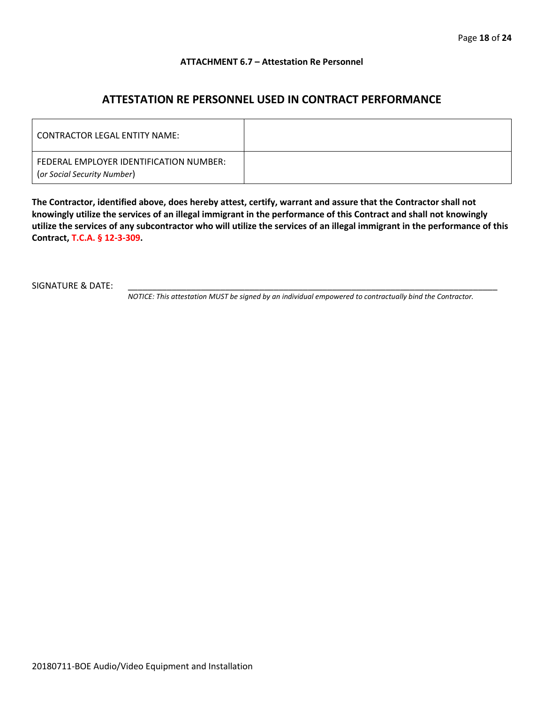#### **ATTACHMENT 6.7 – Attestation Re Personnel**

## **ATTESTATION RE PERSONNEL USED IN CONTRACT PERFORMANCE**

| CONTRACTOR LEGAL ENTITY NAME:                                          |  |
|------------------------------------------------------------------------|--|
| FEDERAL EMPLOYER IDENTIFICATION NUMBER:<br>(or Social Security Number) |  |

**The Contractor, identified above, does hereby attest, certify, warrant and assure that the Contractor shall not knowingly utilize the services of an illegal immigrant in the performance of this Contract and shall not knowingly utilize the services of any subcontractor who will utilize the services of an illegal immigrant in the performance of this Contract, T.C.A. § 12-3-309.**

SIGNATURE & DATE:

*NOTICE: This attestation MUST be signed by an individual empowered to contractually bind the Contractor.*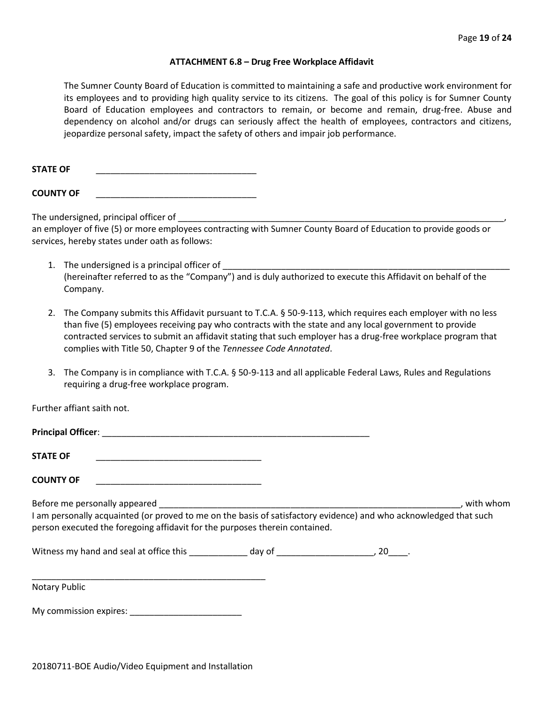#### **ATTACHMENT 6.8 – Drug Free Workplace Affidavit**

The Sumner County Board of Education is committed to maintaining a safe and productive work environment for its employees and to providing high quality service to its citizens. The goal of this policy is for Sumner County Board of Education employees and contractors to remain, or become and remain, drug-free. Abuse and dependency on alcohol and/or drugs can seriously affect the health of employees, contractors and citizens, jeopardize personal safety, impact the safety of others and impair job performance.

STATE OF

**COUNTY OF** \_\_\_\_\_\_\_\_\_\_\_\_\_\_\_\_\_\_\_\_\_\_\_\_\_\_\_\_\_\_\_\_\_

The undersigned, principal officer of

an employer of five (5) or more employees contracting with Sumner County Board of Education to provide goods or services, hereby states under oath as follows:

- 1. The undersigned is a principal officer of (hereinafter referred to as the "Company") and is duly authorized to execute this Affidavit on behalf of the Company.
- 2. The Company submits this Affidavit pursuant to T.C.A. § 50-9-113, which requires each employer with no less than five (5) employees receiving pay who contracts with the state and any local government to provide contracted services to submit an affidavit stating that such employer has a drug-free workplace program that complies with Title 50, Chapter 9 of the *Tennessee Code Annotated*.
- 3. The Company is in compliance with T.C.A. § 50-9-113 and all applicable Federal Laws, Rules and Regulations requiring a drug-free workplace program.

Further affiant saith not.

| <b>Principal Officer:</b>                                                                                                                                                                                                         |           |
|-----------------------------------------------------------------------------------------------------------------------------------------------------------------------------------------------------------------------------------|-----------|
| <b>STATE OF</b>                                                                                                                                                                                                                   |           |
| <b>COUNTY OF</b>                                                                                                                                                                                                                  |           |
| Before me personally appeared<br>I am personally acquainted (or proved to me on the basis of satisfactory evidence) and who acknowledged that such<br>person executed the foregoing affidavit for the purposes therein contained. | with whom |

Witness my hand and seal at office this \_\_\_\_\_\_\_\_\_\_\_\_\_ day of \_\_\_\_\_\_\_\_\_\_\_\_\_\_\_\_\_\_\_\_\_, 20\_\_\_\_.

\_\_\_\_\_\_\_\_\_\_\_\_\_\_\_\_\_\_\_\_\_\_\_\_\_\_\_\_\_\_\_\_\_\_\_\_\_\_\_\_\_\_\_\_\_\_\_\_ Notary Public

My commission expires: \_\_\_\_\_\_\_\_\_\_\_\_\_\_\_\_\_\_\_\_\_\_\_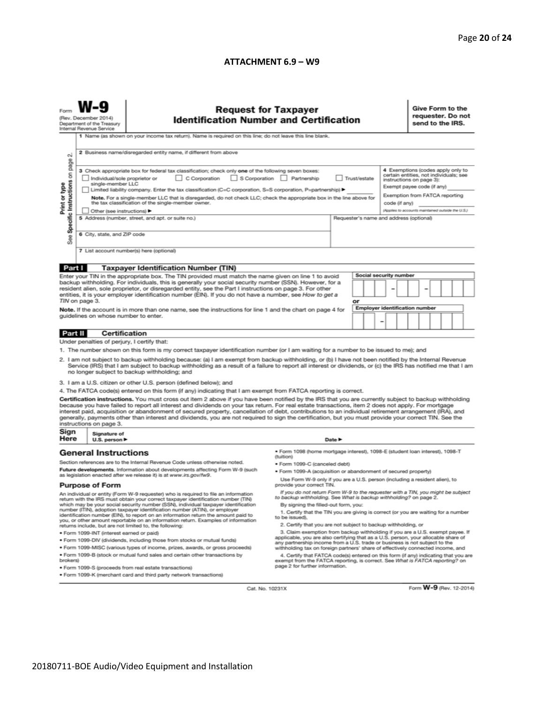#### **ATTACHMENT 6.9 – W9**

|                                                                                                                                                                                                                                                                                                                                                                                                                                                                                                                         | <b>Request for Taxpayer</b><br>(Rev. December 2014)<br><b>Identification Number and Certification</b><br>Department of the Treasury<br>Internal Revenue Service                                                                                 |                                                                                                                                                                                                                                                                                                                                                                                                                                                                                                                                                                                                                               |                                                                                                                                                                                                                                                      |        |  |                                       |   | Give Form to the<br>requester. Do not<br>send to the IRS.          |  |                                                                                                                                                                         |  |  |  |
|-------------------------------------------------------------------------------------------------------------------------------------------------------------------------------------------------------------------------------------------------------------------------------------------------------------------------------------------------------------------------------------------------------------------------------------------------------------------------------------------------------------------------|-------------------------------------------------------------------------------------------------------------------------------------------------------------------------------------------------------------------------------------------------|-------------------------------------------------------------------------------------------------------------------------------------------------------------------------------------------------------------------------------------------------------------------------------------------------------------------------------------------------------------------------------------------------------------------------------------------------------------------------------------------------------------------------------------------------------------------------------------------------------------------------------|------------------------------------------------------------------------------------------------------------------------------------------------------------------------------------------------------------------------------------------------------|--------|--|---------------------------------------|---|--------------------------------------------------------------------|--|-------------------------------------------------------------------------------------------------------------------------------------------------------------------------|--|--|--|
| σû                                                                                                                                                                                                                                                                                                                                                                                                                                                                                                                      | 1 Name (as shown on your income tax return). Name is required on this line; do not leave this line blank.<br>2 Business name/disregarded entity name, if different from above                                                                   |                                                                                                                                                                                                                                                                                                                                                                                                                                                                                                                                                                                                                               |                                                                                                                                                                                                                                                      |        |  |                                       |   |                                                                    |  |                                                                                                                                                                         |  |  |  |
| Specific Instructions on page<br>Print or type                                                                                                                                                                                                                                                                                                                                                                                                                                                                          | Individual/sole proprietor or<br>single-member LLC                                                                                                                                                                                              | 3 Check appropriate box for federal tax classification; check only one of the following seven boxes:<br>C Corporation<br>Limited liability company. Enter the tax classification (C=C corporation, S=S corporation, P=partnership) ▶<br>Note. For a single-member LLC that is disregarded, do not check LLC; check the appropriate box in the line above for<br>the tax classification of the single-member owner.                                                                                                                                                                                                            | S Corporation Partnership<br>Trust/estate                                                                                                                                                                                                            |        |  |                                       |   |                                                                    |  | 4 Exemptions (codes apply only to<br>certain entities, not individuals; see<br>instructions on page 3):<br>Exempt payee code (if any)<br>Exemption from FATCA reporting |  |  |  |
|                                                                                                                                                                                                                                                                                                                                                                                                                                                                                                                         | Other (see instructions) ▶                                                                                                                                                                                                                      |                                                                                                                                                                                                                                                                                                                                                                                                                                                                                                                                                                                                                               |                                                                                                                                                                                                                                                      |        |  |                                       |   | code (if any)<br>(Applies to accounts maintained outside the U.S.) |  |                                                                                                                                                                         |  |  |  |
|                                                                                                                                                                                                                                                                                                                                                                                                                                                                                                                         | 5 Address (number, street, and apt. or suite no.)<br>Requester's name and address (optional)<br>6 City, state, and ZIP code                                                                                                                     |                                                                                                                                                                                                                                                                                                                                                                                                                                                                                                                                                                                                                               |                                                                                                                                                                                                                                                      |        |  |                                       |   |                                                                    |  |                                                                                                                                                                         |  |  |  |
| See                                                                                                                                                                                                                                                                                                                                                                                                                                                                                                                     |                                                                                                                                                                                                                                                 |                                                                                                                                                                                                                                                                                                                                                                                                                                                                                                                                                                                                                               |                                                                                                                                                                                                                                                      |        |  |                                       |   |                                                                    |  |                                                                                                                                                                         |  |  |  |
|                                                                                                                                                                                                                                                                                                                                                                                                                                                                                                                         |                                                                                                                                                                                                                                                 | 7 List account number(s) here (optional)                                                                                                                                                                                                                                                                                                                                                                                                                                                                                                                                                                                      |                                                                                                                                                                                                                                                      |        |  |                                       |   |                                                                    |  |                                                                                                                                                                         |  |  |  |
| Part I                                                                                                                                                                                                                                                                                                                                                                                                                                                                                                                  |                                                                                                                                                                                                                                                 | <b>Taxpayer Identification Number (TIN)</b>                                                                                                                                                                                                                                                                                                                                                                                                                                                                                                                                                                                   |                                                                                                                                                                                                                                                      |        |  |                                       |   |                                                                    |  |                                                                                                                                                                         |  |  |  |
|                                                                                                                                                                                                                                                                                                                                                                                                                                                                                                                         |                                                                                                                                                                                                                                                 | Enter your TIN in the appropriate box. The TIN provided must match the name given on line 1 to avoid                                                                                                                                                                                                                                                                                                                                                                                                                                                                                                                          |                                                                                                                                                                                                                                                      |        |  | Social security number                |   |                                                                    |  |                                                                                                                                                                         |  |  |  |
| backup withholding. For individuals, this is generally your social security number (SSN). However, for a<br>resident alien, sole proprietor, or disregarded entity, see the Part I instructions on page 3. For other<br>entities, it is your employer identification number (EIN). If you do not have a number, see How to get a<br>TIN on page 3.<br>or                                                                                                                                                                |                                                                                                                                                                                                                                                 |                                                                                                                                                                                                                                                                                                                                                                                                                                                                                                                                                                                                                               |                                                                                                                                                                                                                                                      |        |  |                                       |   |                                                                    |  |                                                                                                                                                                         |  |  |  |
|                                                                                                                                                                                                                                                                                                                                                                                                                                                                                                                         |                                                                                                                                                                                                                                                 | Note. If the account is in more than one name, see the instructions for line 1 and the chart on page 4 for                                                                                                                                                                                                                                                                                                                                                                                                                                                                                                                    |                                                                                                                                                                                                                                                      |        |  | <b>Employer identification number</b> |   |                                                                    |  |                                                                                                                                                                         |  |  |  |
|                                                                                                                                                                                                                                                                                                                                                                                                                                                                                                                         | guidelines on whose number to enter.                                                                                                                                                                                                            |                                                                                                                                                                                                                                                                                                                                                                                                                                                                                                                                                                                                                               |                                                                                                                                                                                                                                                      |        |  |                                       | - |                                                                    |  |                                                                                                                                                                         |  |  |  |
| <b>Part II</b>                                                                                                                                                                                                                                                                                                                                                                                                                                                                                                          | <b>Certification</b>                                                                                                                                                                                                                            |                                                                                                                                                                                                                                                                                                                                                                                                                                                                                                                                                                                                                               |                                                                                                                                                                                                                                                      |        |  |                                       |   |                                                                    |  |                                                                                                                                                                         |  |  |  |
|                                                                                                                                                                                                                                                                                                                                                                                                                                                                                                                         | Under penalties of perjury, I certify that:                                                                                                                                                                                                     |                                                                                                                                                                                                                                                                                                                                                                                                                                                                                                                                                                                                                               |                                                                                                                                                                                                                                                      |        |  |                                       |   |                                                                    |  |                                                                                                                                                                         |  |  |  |
| 1. The number shown on this form is my correct taxpayer identification number (or I am waiting for a number to be issued to me); and<br>2. I am not subject to backup withholding because: (a) I am exempt from backup withholding, or (b) I have not been notified by the Internal Revenue<br>Service (IRS) that I am subject to backup withholding as a result of a failure to report all interest or dividends, or (c) the IRS has notified me that I am<br>no longer subject to backup withholding; and             |                                                                                                                                                                                                                                                 |                                                                                                                                                                                                                                                                                                                                                                                                                                                                                                                                                                                                                               |                                                                                                                                                                                                                                                      |        |  |                                       |   |                                                                    |  |                                                                                                                                                                         |  |  |  |
|                                                                                                                                                                                                                                                                                                                                                                                                                                                                                                                         |                                                                                                                                                                                                                                                 | 3. I am a U.S. citizen or other U.S. person (defined below); and                                                                                                                                                                                                                                                                                                                                                                                                                                                                                                                                                              |                                                                                                                                                                                                                                                      |        |  |                                       |   |                                                                    |  |                                                                                                                                                                         |  |  |  |
|                                                                                                                                                                                                                                                                                                                                                                                                                                                                                                                         |                                                                                                                                                                                                                                                 | 4. The FATCA code(s) entered on this form (if any) indicating that I am exempt from FATCA reporting is correct.                                                                                                                                                                                                                                                                                                                                                                                                                                                                                                               |                                                                                                                                                                                                                                                      |        |  |                                       |   |                                                                    |  |                                                                                                                                                                         |  |  |  |
|                                                                                                                                                                                                                                                                                                                                                                                                                                                                                                                         | instructions on page 3.                                                                                                                                                                                                                         | Certification instructions. You must cross out item 2 above if you have been notified by the IRS that you are currently subject to backup withholding<br>because you have failed to report all interest and dividends on your tax return. For real estate transactions, item 2 does not apply. For mortgage<br>interest paid, acquisition or abandonment of secured property, cancellation of debt, contributions to an individual retirement arrangement (IRA), and<br>generally, payments other than interest and dividends, you are not required to sign the certification, but you must provide your correct TIN. See the |                                                                                                                                                                                                                                                      |        |  |                                       |   |                                                                    |  |                                                                                                                                                                         |  |  |  |
| Sign<br>Here                                                                                                                                                                                                                                                                                                                                                                                                                                                                                                            | Signature of<br>U.S. person ▶                                                                                                                                                                                                                   |                                                                                                                                                                                                                                                                                                                                                                                                                                                                                                                                                                                                                               |                                                                                                                                                                                                                                                      | Date P |  |                                       |   |                                                                    |  |                                                                                                                                                                         |  |  |  |
|                                                                                                                                                                                                                                                                                                                                                                                                                                                                                                                         | <b>General Instructions</b>                                                                                                                                                                                                                     | Section references are to the Internal Revenue Code unless otherwise noted.                                                                                                                                                                                                                                                                                                                                                                                                                                                                                                                                                   | · Form 1098 (home mortgage interest), 1098-E (student Ioan interest), 1098-T<br>(tuition)                                                                                                                                                            |        |  |                                       |   |                                                                    |  |                                                                                                                                                                         |  |  |  |
| Future developments. Information about developments affecting Form W-9 (such                                                                                                                                                                                                                                                                                                                                                                                                                                            |                                                                                                                                                                                                                                                 | • Form 1099-C (canceled debt)<br>. Form 1099-A (acquisition or abandonment of secured property)                                                                                                                                                                                                                                                                                                                                                                                                                                                                                                                               |                                                                                                                                                                                                                                                      |        |  |                                       |   |                                                                    |  |                                                                                                                                                                         |  |  |  |
| as legislation enacted after we release it) is at www.irs.gov/fw9.                                                                                                                                                                                                                                                                                                                                                                                                                                                      |                                                                                                                                                                                                                                                 | Use Form W-9 only if you are a U.S. person (including a resident alien), to                                                                                                                                                                                                                                                                                                                                                                                                                                                                                                                                                   |                                                                                                                                                                                                                                                      |        |  |                                       |   |                                                                    |  |                                                                                                                                                                         |  |  |  |
| <b>Purpose of Form</b>                                                                                                                                                                                                                                                                                                                                                                                                                                                                                                  |                                                                                                                                                                                                                                                 | provide your correct TIN.<br>If you do not return Form W-9 to the requester with a TIN, you might be subject                                                                                                                                                                                                                                                                                                                                                                                                                                                                                                                  |                                                                                                                                                                                                                                                      |        |  |                                       |   |                                                                    |  |                                                                                                                                                                         |  |  |  |
| An individual or entity (Form W-9 requester) who is required to file an information<br>return with the IRS must obtain your correct taxpayer identification number (TIN)<br>which may be your social security number (SSN), individual taxpayer identification<br>number (ITIN), adoption taxpayer identification number (ATIN), or employer<br>identification number (EIN), to report on an information return the amount paid to<br>you, or other amount reportable on an information return. Examples of information |                                                                                                                                                                                                                                                 | to backup withholding. See What is backup withholding? on page 2.<br>By signing the filled-out form, you:<br>1. Certify that the TIN you are giving is correct (or you are waiting for a number<br>to be issued).                                                                                                                                                                                                                                                                                                                                                                                                             |                                                                                                                                                                                                                                                      |        |  |                                       |   |                                                                    |  |                                                                                                                                                                         |  |  |  |
| returns include, but are not limited to, the following:<br>· Form 1099-INT (interest earned or paid)                                                                                                                                                                                                                                                                                                                                                                                                                    |                                                                                                                                                                                                                                                 |                                                                                                                                                                                                                                                                                                                                                                                                                                                                                                                                                                                                                               | 2. Certify that you are not subject to backup withholding, or<br>3. Claim exemption from backup withholding if you are a U.S. exempt payee. If                                                                                                       |        |  |                                       |   |                                                                    |  |                                                                                                                                                                         |  |  |  |
| . Form 1099-DIV (dividends, including those from stocks or mutual funds)                                                                                                                                                                                                                                                                                                                                                                                                                                                |                                                                                                                                                                                                                                                 |                                                                                                                                                                                                                                                                                                                                                                                                                                                                                                                                                                                                                               | applicable, you are also certifying that as a U.S. person, your allocable share of                                                                                                                                                                   |        |  |                                       |   |                                                                    |  |                                                                                                                                                                         |  |  |  |
| . Form 1099-MISC (various types of income, prizes, awards, or gross proceeds)<br>. Form 1099-B (stock or mutual fund sales and certain other transactions by                                                                                                                                                                                                                                                                                                                                                            |                                                                                                                                                                                                                                                 |                                                                                                                                                                                                                                                                                                                                                                                                                                                                                                                                                                                                                               | any partnership income from a U.S. trade or business is not subject to the<br>withholding tax on foreign partners' share of effectively connected income, and<br>4. Certify that FATCA code(s) entered on this form (if any) indicating that you are |        |  |                                       |   |                                                                    |  |                                                                                                                                                                         |  |  |  |
| brokers)                                                                                                                                                                                                                                                                                                                                                                                                                                                                                                                | exempt from the FATCA reporting, is correct. See What is FATCA reporting? on<br>page 2 for further information.<br>· Form 1099-S (proceeds from real estate transactions)<br>. Form 1099-K (merchant card and third party network transactions) |                                                                                                                                                                                                                                                                                                                                                                                                                                                                                                                                                                                                                               |                                                                                                                                                                                                                                                      |        |  |                                       |   |                                                                    |  |                                                                                                                                                                         |  |  |  |

Cat. No. 10231X

Form **W-9** (Rev. 12-2014)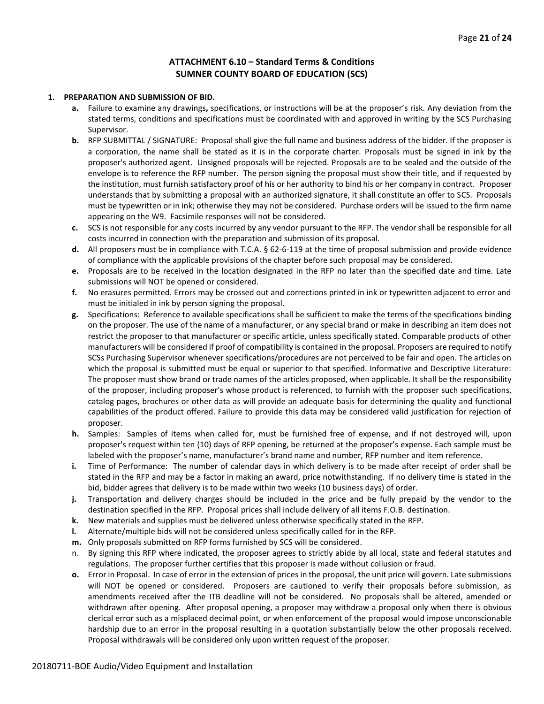#### **ATTACHMENT 6.10 – Standard Terms & Conditions SUMNER COUNTY BOARD OF EDUCATION (SCS)**

#### **1. PREPARATION AND SUBMISSION OF BID.**

- **a.** Failure to examine any drawings**,** specifications, or instructions will be at the proposer's risk. Any deviation from the stated terms, conditions and specifications must be coordinated with and approved in writing by the SCS Purchasing Supervisor.
- **b.** RFP SUBMITTAL / SIGNATURE: Proposal shall give the full name and business address of the bidder. If the proposer is a corporation, the name shall be stated as it is in the corporate charter. Proposals must be signed in ink by the proposer's authorized agent. Unsigned proposals will be rejected. Proposals are to be sealed and the outside of the envelope is to reference the RFP number. The person signing the proposal must show their title, and if requested by the institution, must furnish satisfactory proof of his or her authority to bind his or her company in contract. Proposer understands that by submitting a proposal with an authorized signature, it shall constitute an offer to SCS. Proposals must be typewritten or in ink; otherwise they may not be considered. Purchase orders will be issued to the firm name appearing on the W9. Facsimile responses will not be considered.
- **c.** SCS is not responsible for any costs incurred by any vendor pursuant to the RFP. The vendor shall be responsible for all costs incurred in connection with the preparation and submission of its proposal.
- **d.** All proposers must be in compliance with T.C.A. § 62-6-119 at the time of proposal submission and provide evidence of compliance with the applicable provisions of the chapter before such proposal may be considered.
- **e.** Proposals are to be received in the location designated in the RFP no later than the specified date and time. Late submissions will NOT be opened or considered.
- **f.** No erasures permitted. Errors may be crossed out and corrections printed in ink or typewritten adjacent to error and must be initialed in ink by person signing the proposal.
- **g.** Specifications: Reference to available specifications shall be sufficient to make the terms of the specifications binding on the proposer. The use of the name of a manufacturer, or any special brand or make in describing an item does not restrict the proposer to that manufacturer or specific article, unless specifically stated. Comparable products of other manufacturers will be considered if proof of compatibility is contained in the proposal. Proposers are required to notify SCSs Purchasing Supervisor whenever specifications/procedures are not perceived to be fair and open. The articles on which the proposal is submitted must be equal or superior to that specified. Informative and Descriptive Literature: The proposer must show brand or trade names of the articles proposed, when applicable. It shall be the responsibility of the proposer, including proposer's whose product is referenced, to furnish with the proposer such specifications, catalog pages, brochures or other data as will provide an adequate basis for determining the quality and functional capabilities of the product offered. Failure to provide this data may be considered valid justification for rejection of proposer.
- **h.** Samples: Samples of items when called for, must be furnished free of expense, and if not destroyed will, upon proposer's request within ten (10) days of RFP opening, be returned at the proposer's expense. Each sample must be labeled with the proposer's name, manufacturer's brand name and number, RFP number and item reference.
- **i.** Time of Performance: The number of calendar days in which delivery is to be made after receipt of order shall be stated in the RFP and may be a factor in making an award, price notwithstanding. If no delivery time is stated in the bid, bidder agrees that delivery is to be made within two weeks (10 business days) of order.
- **j.** Transportation and delivery charges should be included in the price and be fully prepaid by the vendor to the destination specified in the RFP. Proposal prices shall include delivery of all items F.O.B. destination.
- **k.** New materials and supplies must be delivered unless otherwise specifically stated in the RFP.
- **l.** Alternate/multiple bids will not be considered unless specifically called for in the RFP.
- **m.** Only proposals submitted on RFP forms furnished by SCS will be considered.
- By signing this RFP where indicated, the proposer agrees to strictly abide by all local, state and federal statutes and regulations. The proposer further certifies that this proposer is made without collusion or fraud.
- **o.** Error in Proposal. In case of error in the extension of prices in the proposal, the unit price will govern. Late submissions will NOT be opened or considered. Proposers are cautioned to verify their proposals before submission, as amendments received after the ITB deadline will not be considered. No proposals shall be altered, amended or withdrawn after opening. After proposal opening, a proposer may withdraw a proposal only when there is obvious clerical error such as a misplaced decimal point, or when enforcement of the proposal would impose unconscionable hardship due to an error in the proposal resulting in a quotation substantially below the other proposals received. Proposal withdrawals will be considered only upon written request of the proposer.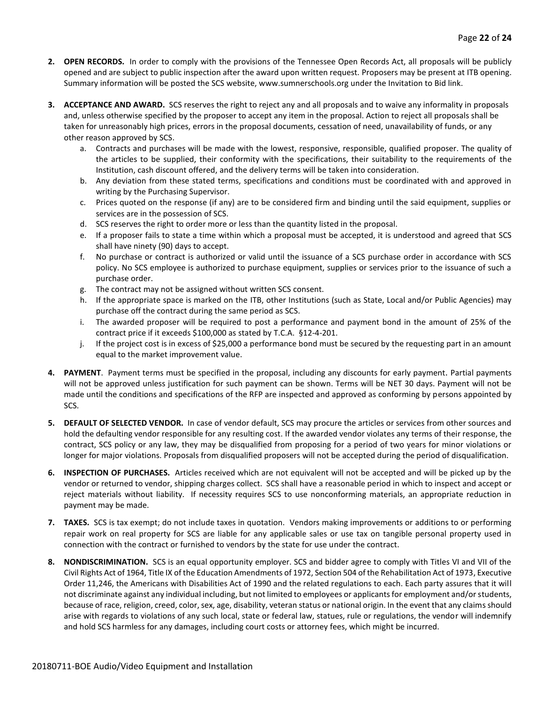- **2. OPEN RECORDS.** In order to comply with the provisions of the Tennessee Open Records Act, all proposals will be publicly opened and are subject to public inspection after the award upon written request. Proposers may be present at ITB opening. Summary information will be posted the SCS website, www.sumnerschools.org under the Invitation to Bid link.
- **3. ACCEPTANCE AND AWARD.** SCS reserves the right to reject any and all proposals and to waive any informality in proposals and, unless otherwise specified by the proposer to accept any item in the proposal. Action to reject all proposals shall be taken for unreasonably high prices, errors in the proposal documents, cessation of need, unavailability of funds, or any other reason approved by SCS.
	- a. Contracts and purchases will be made with the lowest, responsive, responsible, qualified proposer. The quality of the articles to be supplied, their conformity with the specifications, their suitability to the requirements of the Institution, cash discount offered, and the delivery terms will be taken into consideration.
	- b. Any deviation from these stated terms, specifications and conditions must be coordinated with and approved in writing by the Purchasing Supervisor.
	- c. Prices quoted on the response (if any) are to be considered firm and binding until the said equipment, supplies or services are in the possession of SCS.
	- d. SCS reserves the right to order more or less than the quantity listed in the proposal.
	- e. If a proposer fails to state a time within which a proposal must be accepted, it is understood and agreed that SCS shall have ninety (90) days to accept.
	- f. No purchase or contract is authorized or valid until the issuance of a SCS purchase order in accordance with SCS policy. No SCS employee is authorized to purchase equipment, supplies or services prior to the issuance of such a purchase order.
	- g. The contract may not be assigned without written SCS consent.
	- h. If the appropriate space is marked on the ITB, other Institutions (such as State, Local and/or Public Agencies) may purchase off the contract during the same period as SCS.
	- i. The awarded proposer will be required to post a performance and payment bond in the amount of 25% of the contract price if it exceeds \$100,000 as stated by T.C.A. §12-4-201.
	- j. If the project cost is in excess of \$25,000 a performance bond must be secured by the requesting part in an amount equal to the market improvement value.
- **4. PAYMENT**. Payment terms must be specified in the proposal, including any discounts for early payment. Partial payments will not be approved unless justification for such payment can be shown. Terms will be NET 30 days. Payment will not be made until the conditions and specifications of the RFP are inspected and approved as conforming by persons appointed by SCS.
- **5. DEFAULT OF SELECTED VENDOR.** In case of vendor default, SCS may procure the articles or services from other sources and hold the defaulting vendor responsible for any resulting cost. If the awarded vendor violates any terms of their response, the contract, SCS policy or any law, they may be disqualified from proposing for a period of two years for minor violations or longer for major violations. Proposals from disqualified proposers will not be accepted during the period of disqualification.
- **6. INSPECTION OF PURCHASES.** Articles received which are not equivalent will not be accepted and will be picked up by the vendor or returned to vendor, shipping charges collect. SCS shall have a reasonable period in which to inspect and accept or reject materials without liability. If necessity requires SCS to use nonconforming materials, an appropriate reduction in payment may be made.
- **7. TAXES.** SCS is tax exempt; do not include taxes in quotation. Vendors making improvements or additions to or performing repair work on real property for SCS are liable for any applicable sales or use tax on tangible personal property used in connection with the contract or furnished to vendors by the state for use under the contract.
- **8. NONDISCRIMINATION.** SCS is an equal opportunity employer. SCS and bidder agree to comply with Titles VI and VII of the Civil Rights Act of 1964, Title IX of the Education Amendments of 1972, Section 504 of the Rehabilitation Act of 1973, Executive Order 11,246, the Americans with Disabilities Act of 1990 and the related regulations to each. Each party assures that it will not discriminate against any individual including, but not limited to employees or applicants for employment and/or students, because of race, religion, creed, color, sex, age, disability, veteran status or national origin. In the event that any claims should arise with regards to violations of any such local, state or federal law, statues, rule or regulations, the vendor will indemnify and hold SCS harmless for any damages, including court costs or attorney fees, which might be incurred.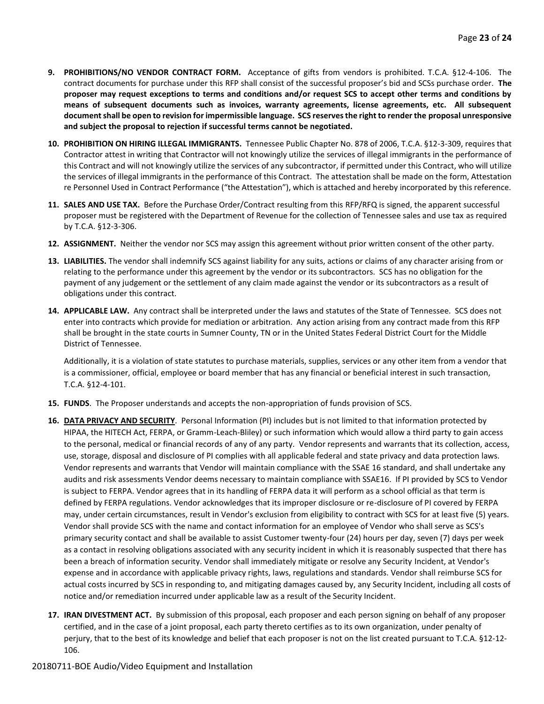- **9. PROHIBITIONS/NO VENDOR CONTRACT FORM.** Acceptance of gifts from vendors is prohibited. T.C.A. §12-4-106. The contract documents for purchase under this RFP shall consist of the successful proposer's bid and SCSs purchase order. **The proposer may request exceptions to terms and conditions and/or request SCS to accept other terms and conditions by means of subsequent documents such as invoices, warranty agreements, license agreements, etc. All subsequent document shall be open to revision for impermissible language. SCS reserves the right to render the proposal unresponsive and subject the proposal to rejection if successful terms cannot be negotiated.**
- **10. PROHIBITION ON HIRING ILLEGAL IMMIGRANTS.** Tennessee Public Chapter No. 878 of 2006, T.C.A. §12-3-309, requires that Contractor attest in writing that Contractor will not knowingly utilize the services of illegal immigrants in the performance of this Contract and will not knowingly utilize the services of any subcontractor, if permitted under this Contract, who will utilize the services of illegal immigrants in the performance of this Contract. The attestation shall be made on the form, Attestation re Personnel Used in Contract Performance ("the Attestation"), which is attached and hereby incorporated by this reference.
- **11. SALES AND USE TAX.** Before the Purchase Order/Contract resulting from this RFP/RFQ is signed, the apparent successful proposer must be registered with the Department of Revenue for the collection of Tennessee sales and use tax as required by T.C.A. §12-3-306.
- **12. ASSIGNMENT.** Neither the vendor nor SCS may assign this agreement without prior written consent of the other party.
- **13. LIABILITIES.** The vendor shall indemnify SCS against liability for any suits, actions or claims of any character arising from or relating to the performance under this agreement by the vendor or its subcontractors. SCS has no obligation for the payment of any judgement or the settlement of any claim made against the vendor or its subcontractors as a result of obligations under this contract.
- **14. APPLICABLE LAW.** Any contract shall be interpreted under the laws and statutes of the State of Tennessee. SCS does not enter into contracts which provide for mediation or arbitration. Any action arising from any contract made from this RFP shall be brought in the state courts in Sumner County, TN or in the United States Federal District Court for the Middle District of Tennessee.

Additionally, it is a violation of state statutes to purchase materials, supplies, services or any other item from a vendor that is a commissioner, official, employee or board member that has any financial or beneficial interest in such transaction, T.C.A. §12-4-101.

- **15. FUNDS**. The Proposer understands and accepts the non-appropriation of funds provision of SCS.
- **16. DATA PRIVACY AND SECURITY**. Personal Information (PI) includes but is not limited to that information protected by HIPAA, the HITECH Act, FERPA, or Gramm-Leach-Bliley) or such information which would allow a third party to gain access to the personal, medical or financial records of any of any party. Vendor represents and warrants that its collection, access, use, storage, disposal and disclosure of PI complies with all applicable federal and state privacy and data protection laws. Vendor represents and warrants that Vendor will maintain compliance with the SSAE 16 standard, and shall undertake any audits and risk assessments Vendor deems necessary to maintain compliance with SSAE16. If PI provided by SCS to Vendor is subject to FERPA. Vendor agrees that in its handling of FERPA data it will perform as a school official as that term is defined by FERPA regulations. Vendor acknowledges that its improper disclosure or re-disclosure of PI covered by FERPA may, under certain circumstances, result in Vendor's exclusion from eligibility to contract with SCS for at least five (5) years. Vendor shall provide SCS with the name and contact information for an employee of Vendor who shall serve as SCS's primary security contact and shall be available to assist Customer twenty-four (24) hours per day, seven (7) days per week as a contact in resolving obligations associated with any security incident in which it is reasonably suspected that there has been a breach of information security. Vendor shall immediately mitigate or resolve any Security Incident, at Vendor's expense and in accordance with applicable privacy rights, laws, regulations and standards. Vendor shall reimburse SCS for actual costs incurred by SCS in responding to, and mitigating damages caused by, any Security Incident, including all costs of notice and/or remediation incurred under applicable law as a result of the Security Incident.
- **17. IRAN DIVESTMENT ACT.** By submission of this proposal, each proposer and each person signing on behalf of any proposer certified, and in the case of a joint proposal, each party thereto certifies as to its own organization, under penalty of perjury, that to the best of its knowledge and belief that each proposer is not on the list created pursuant to T.C.A. §12-12- 106.